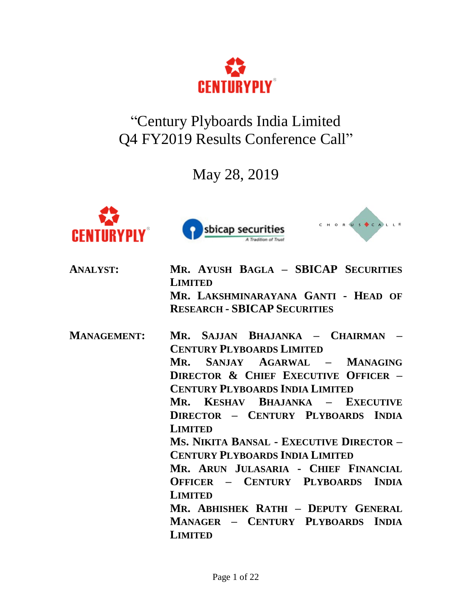

"Century Plyboards India Limited Q4 FY2019 Results Conference Call"

May 28, 2019







| MR. AYUSH BAGLA - SBICAP SECURITIES<br><b>LIMITED</b> |
|-------------------------------------------------------|
| MR. LAKSHMINARAYANA GANTI - HEAD OF                   |
| <b>RESEARCH - SBICAP SECURITIES</b>                   |
| Mr. Sajjan Bhajanka - Chairman                        |
| <b>CENTURY PLYBOARDS LIMITED</b>                      |
| MR. SANJAY AGARWAL - MANAGING                         |
| <b>DIRECTOR &amp; CHIEF EXECUTIVE OFFICER -</b>       |
| <b>CENTURY PLYBOARDS INDIA LIMITED</b>                |
| Mr. Keshav Bhajanka – Executive                       |
| DIRECTOR - CENTURY PLYBOARDS INDIA                    |
| <b>LIMITED</b>                                        |
| Ms. Nikita Bansal - Executive Director -              |
| <b>CENTURY PLYBOARDS INDIA LIMITED</b>                |
| MR. ARUN JULASARIA - CHIEF FINANCIAL                  |
| OFFICER - CENTURY PLYBOARDS INDIA                     |
| <b>LIMITED</b>                                        |
| MR. ABHISHEK RATHI - DEPUTY GENERAL                   |
| MANAGER - CENTURY PLYBOARDS INDIA                     |
| <b>LIMITED</b>                                        |
|                                                       |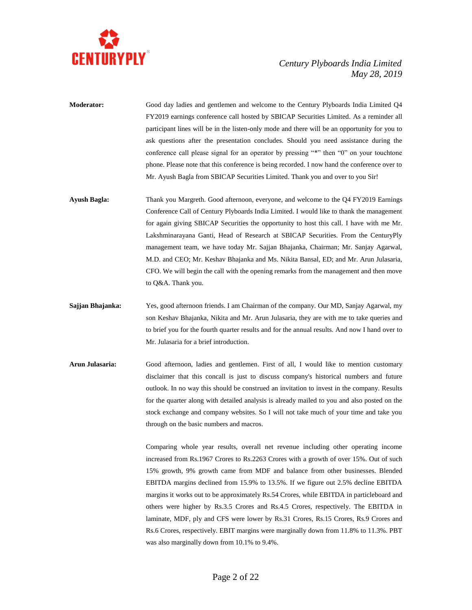

- **Moderator:** Good day ladies and gentlemen and welcome to the Century Plyboards India Limited Q4 FY2019 earnings conference call hosted by SBICAP Securities Limited. As a reminder all participant lines will be in the listen-only mode and there will be an opportunity for you to ask questions after the presentation concludes. Should you need assistance during the conference call please signal for an operator by pressing "\*" then "0" on your touchtone phone. Please note that this conference is being recorded. I now hand the conference over to Mr. Ayush Bagla from SBICAP Securities Limited. Thank you and over to you Sir!
- **Ayush Bagla:** Thank you Margreth. Good afternoon, everyone, and welcome to the Q4 FY2019 Earnings Conference Call of Century Plyboards India Limited. I would like to thank the management for again giving SBICAP Securities the opportunity to host this call. I have with me Mr. Lakshminarayana Ganti, Head of Research at SBICAP Securities. From the CenturyPly management team, we have today Mr. Sajjan Bhajanka, Chairman; Mr. Sanjay Agarwal, M.D. and CEO; Mr. Keshav Bhajanka and Ms. Nikita Bansal, ED; and Mr. Arun Julasaria, CFO. We will begin the call with the opening remarks from the management and then move to Q&A. Thank you.
- **Sajjan Bhajanka:** Yes, good afternoon friends. I am Chairman of the company. Our MD, Sanjay Agarwal, my son Keshav Bhajanka, Nikita and Mr. Arun Julasaria, they are with me to take queries and to brief you for the fourth quarter results and for the annual results. And now I hand over to Mr. Julasaria for a brief introduction.
- **Arun Julasaria:** Good afternoon, ladies and gentlemen. First of all, I would like to mention customary disclaimer that this concall is just to discuss company's historical numbers and future outlook. In no way this should be construed an invitation to invest in the company. Results for the quarter along with detailed analysis is already mailed to you and also posted on the stock exchange and company websites. So I will not take much of your time and take you through on the basic numbers and macros.

Comparing whole year results, overall net revenue including other operating income increased from Rs.1967 Crores to Rs.2263 Crores with a growth of over 15%. Out of such 15% growth, 9% growth came from MDF and balance from other businesses. Blended EBITDA margins declined from 15.9% to 13.5%. If we figure out 2.5% decline EBITDA margins it works out to be approximately Rs.54 Crores, while EBITDA in particleboard and others were higher by Rs.3.5 Crores and Rs.4.5 Crores, respectively. The EBITDA in laminate, MDF, ply and CFS were lower by Rs.31 Crores, Rs.15 Crores, Rs.9 Crores and Rs.6 Crores, respectively. EBIT margins were marginally down from 11.8% to 11.3%. PBT was also marginally down from 10.1% to 9.4%.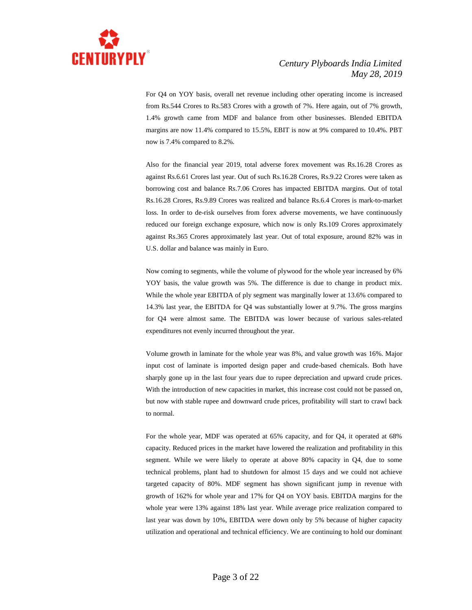

For Q4 on YOY basis, overall net revenue including other operating income is increased from Rs.544 Crores to Rs.583 Crores with a growth of 7%. Here again, out of 7% growth, 1.4% growth came from MDF and balance from other businesses. Blended EBITDA margins are now 11.4% compared to 15.5%, EBIT is now at 9% compared to 10.4%. PBT now is 7.4% compared to 8.2%.

Also for the financial year 2019, total adverse forex movement was Rs.16.28 Crores as against Rs.6.61 Crores last year. Out of such Rs.16.28 Crores, Rs.9.22 Crores were taken as borrowing cost and balance Rs.7.06 Crores has impacted EBITDA margins. Out of total Rs.16.28 Crores, Rs.9.89 Crores was realized and balance Rs.6.4 Crores is mark-to-market loss. In order to de-risk ourselves from forex adverse movements, we have continuously reduced our foreign exchange exposure, which now is only Rs.109 Crores approximately against Rs.365 Crores approximately last year. Out of total exposure, around 82% was in U.S. dollar and balance was mainly in Euro.

Now coming to segments, while the volume of plywood for the whole year increased by 6% YOY basis, the value growth was 5%. The difference is due to change in product mix. While the whole year EBITDA of ply segment was marginally lower at 13.6% compared to 14.3% last year, the EBITDA for Q4 was substantially lower at 9.7%. The gross margins for Q4 were almost same. The EBITDA was lower because of various sales-related expenditures not evenly incurred throughout the year.

Volume growth in laminate for the whole year was 8%, and value growth was 16%. Major input cost of laminate is imported design paper and crude-based chemicals. Both have sharply gone up in the last four years due to rupee depreciation and upward crude prices. With the introduction of new capacities in market, this increase cost could not be passed on, but now with stable rupee and downward crude prices, profitability will start to crawl back to normal.

For the whole year, MDF was operated at 65% capacity, and for Q4, it operated at 68% capacity. Reduced prices in the market have lowered the realization and profitability in this segment. While we were likely to operate at above 80% capacity in Q4, due to some technical problems, plant had to shutdown for almost 15 days and we could not achieve targeted capacity of 80%. MDF segment has shown significant jump in revenue with growth of 162% for whole year and 17% for Q4 on YOY basis. EBITDA margins for the whole year were 13% against 18% last year. While average price realization compared to last year was down by 10%, EBITDA were down only by 5% because of higher capacity utilization and operational and technical efficiency. We are continuing to hold our dominant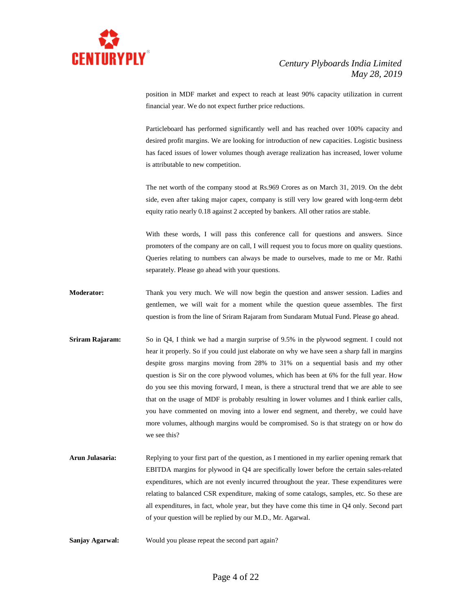

position in MDF market and expect to reach at least 90% capacity utilization in current financial year. We do not expect further price reductions.

Particleboard has performed significantly well and has reached over 100% capacity and desired profit margins. We are looking for introduction of new capacities. Logistic business has faced issues of lower volumes though average realization has increased, lower volume is attributable to new competition.

The net worth of the company stood at Rs.969 Crores as on March 31, 2019. On the debt side, even after taking major capex, company is still very low geared with long-term debt equity ratio nearly 0.18 against 2 accepted by bankers. All other ratios are stable.

With these words, I will pass this conference call for questions and answers. Since promoters of the company are on call, I will request you to focus more on quality questions. Queries relating to numbers can always be made to ourselves, made to me or Mr. Rathi separately. Please go ahead with your questions.

- **Moderator:** Thank you very much. We will now begin the question and answer session. Ladies and gentlemen, we will wait for a moment while the question queue assembles. The first question is from the line of Sriram Rajaram from Sundaram Mutual Fund. Please go ahead.
- **Sriram Rajaram:** So in Q4, I think we had a margin surprise of 9.5% in the plywood segment. I could not hear it properly. So if you could just elaborate on why we have seen a sharp fall in margins despite gross margins moving from 28% to 31% on a sequential basis and my other question is Sir on the core plywood volumes, which has been at 6% for the full year. How do you see this moving forward, I mean, is there a structural trend that we are able to see that on the usage of MDF is probably resulting in lower volumes and I think earlier calls, you have commented on moving into a lower end segment, and thereby, we could have more volumes, although margins would be compromised. So is that strategy on or how do we see this?
- **Arun Julasaria:** Replying to your first part of the question, as I mentioned in my earlier opening remark that EBITDA margins for plywood in Q4 are specifically lower before the certain sales-related expenditures, which are not evenly incurred throughout the year. These expenditures were relating to balanced CSR expenditure, making of some catalogs, samples, etc. So these are all expenditures, in fact, whole year, but they have come this time in Q4 only. Second part of your question will be replied by our M.D., Mr. Agarwal.
- **Sanjay Agarwal:** Would you please repeat the second part again?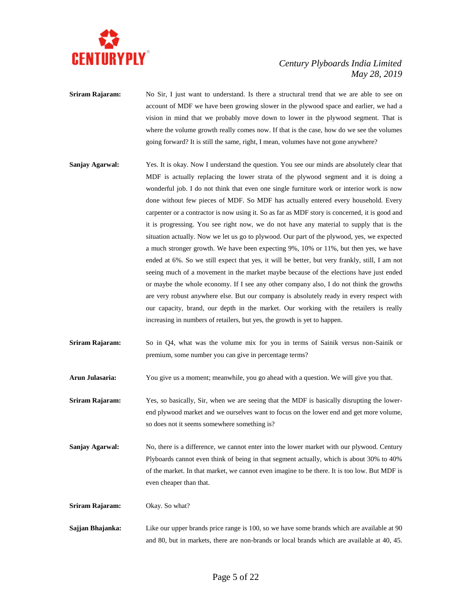

- **Sriram Rajaram:** No Sir, I just want to understand. Is there a structural trend that we are able to see on account of MDF we have been growing slower in the plywood space and earlier, we had a vision in mind that we probably move down to lower in the plywood segment. That is where the volume growth really comes now. If that is the case, how do we see the volumes going forward? It is still the same, right, I mean, volumes have not gone anywhere?
- **Sanjay Agarwal:** Yes. It is okay. Now I understand the question. You see our minds are absolutely clear that MDF is actually replacing the lower strata of the plywood segment and it is doing a wonderful job. I do not think that even one single furniture work or interior work is now done without few pieces of MDF. So MDF has actually entered every household. Every carpenter or a contractor is now using it. So as far as MDF story is concerned, it is good and it is progressing. You see right now, we do not have any material to supply that is the situation actually. Now we let us go to plywood. Our part of the plywood, yes, we expected a much stronger growth. We have been expecting 9%, 10% or 11%, but then yes, we have ended at 6%. So we still expect that yes, it will be better, but very frankly, still, I am not seeing much of a movement in the market maybe because of the elections have just ended or maybe the whole economy. If I see any other company also, I do not think the growths are very robust anywhere else. But our company is absolutely ready in every respect with our capacity, brand, our depth in the market. Our working with the retailers is really increasing in numbers of retailers, but yes, the growth is yet to happen.
- **Sriram Rajaram:** So in Q4, what was the volume mix for you in terms of Sainik versus non-Sainik or premium, some number you can give in percentage terms?
- **Arun Julasaria:** You give us a moment; meanwhile, you go ahead with a question. We will give you that.
- **Sriram Rajaram:** Yes, so basically, Sir, when we are seeing that the MDF is basically disrupting the lowerend plywood market and we ourselves want to focus on the lower end and get more volume, so does not it seems somewhere something is?
- **Sanjay Agarwal:** No, there is a difference, we cannot enter into the lower market with our plywood. Century Plyboards cannot even think of being in that segment actually, which is about 30% to 40% of the market. In that market, we cannot even imagine to be there. It is too low. But MDF is even cheaper than that.

**Sriram Rajaram:** Okay. So what?

**Sajjan Bhajanka:** Like our upper brands price range is 100, so we have some brands which are available at 90 and 80, but in markets, there are non-brands or local brands which are available at 40, 45.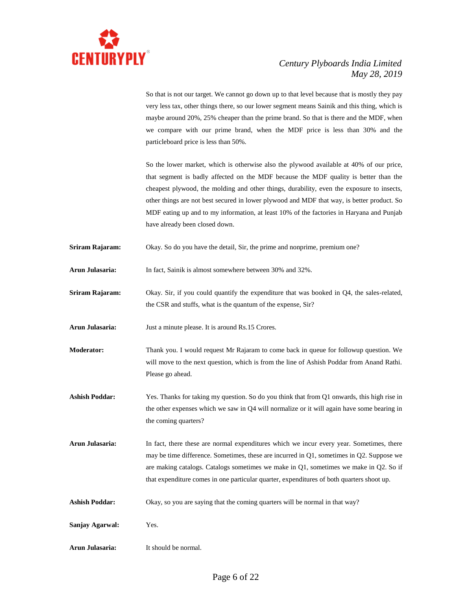

So that is not our target. We cannot go down up to that level because that is mostly they pay very less tax, other things there, so our lower segment means Sainik and this thing, which is maybe around 20%, 25% cheaper than the prime brand. So that is there and the MDF, when we compare with our prime brand, when the MDF price is less than 30% and the particleboard price is less than 50%.

So the lower market, which is otherwise also the plywood available at 40% of our price, that segment is badly affected on the MDF because the MDF quality is better than the cheapest plywood, the molding and other things, durability, even the exposure to insects, other things are not best secured in lower plywood and MDF that way, is better product. So MDF eating up and to my information, at least 10% of the factories in Haryana and Punjab have already been closed down.

- **Sriram Rajaram:** Okay. So do you have the detail, Sir, the prime and nonprime, premium one?
- **Arun Julasaria:** In fact, Sainik is almost somewhere between 30% and 32%.
- **Sriram Rajaram:** Okay. Sir, if you could quantify the expenditure that was booked in Q4, the sales-related, the CSR and stuffs, what is the quantum of the expense, Sir?

**Arun Julasaria:** Just a minute please. It is around Rs.15 Crores.

- **Moderator:** Thank you. I would request Mr Rajaram to come back in queue for followup question. We will move to the next question, which is from the line of Ashish Poddar from Anand Rathi. Please go ahead.
- **Ashish Poddar:** Yes. Thanks for taking my question. So do you think that from Q1 onwards, this high rise in the other expenses which we saw in Q4 will normalize or it will again have some bearing in the coming quarters?
- **Arun Julasaria:** In fact, there these are normal expenditures which we incur every year. Sometimes, there may be time difference. Sometimes, these are incurred in Q1, sometimes in Q2. Suppose we are making catalogs. Catalogs sometimes we make in Q1, sometimes we make in Q2. So if that expenditure comes in one particular quarter, expenditures of both quarters shoot up.
- **Ashish Poddar:** Okay, so you are saying that the coming quarters will be normal in that way?
- **Sanjay Agarwal:** Yes.
- **Arun Julasaria:** It should be normal.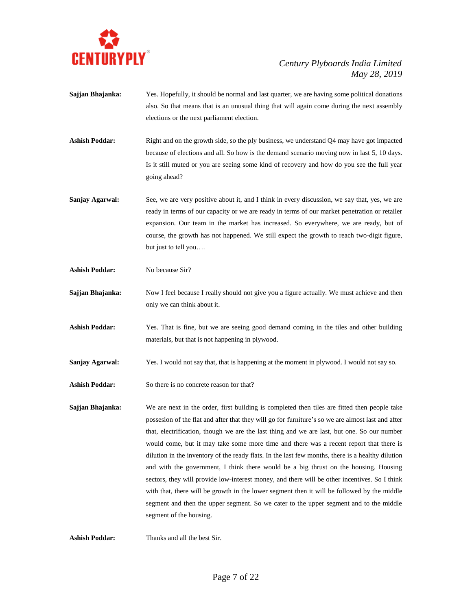

- **Sajjan Bhajanka:** Yes. Hopefully, it should be normal and last quarter, we are having some political donations also. So that means that is an unusual thing that will again come during the next assembly elections or the next parliament election.
- Ashish Poddar: Right and on the growth side, so the ply business, we understand Q4 may have got impacted because of elections and all. So how is the demand scenario moving now in last 5, 10 days. Is it still muted or you are seeing some kind of recovery and how do you see the full year going ahead?
- **Sanjay Agarwal:** See, we are very positive about it, and I think in every discussion, we say that, yes, we are ready in terms of our capacity or we are ready in terms of our market penetration or retailer expansion. Our team in the market has increased. So everywhere, we are ready, but of course, the growth has not happened. We still expect the growth to reach two-digit figure, but just to tell you….
- **Ashish Poddar:** No because Sir?
- **Sajjan Bhajanka:** Now I feel because I really should not give you a figure actually. We must achieve and then only we can think about it.
- **Ashish Poddar:** Yes. That is fine, but we are seeing good demand coming in the tiles and other building materials, but that is not happening in plywood.
- **Sanjay Agarwal:** Yes. I would not say that, that is happening at the moment in plywood. I would not say so.
- Ashish Poddar: So there is no concrete reason for that?
- **Sajjan Bhajanka:** We are next in the order, first building is completed then tiles are fitted then people take possesion of the flat and after that they will go for furniture's so we are almost last and after that, electrification, though we are the last thing and we are last, but one. So our number would come, but it may take some more time and there was a recent report that there is dilution in the inventory of the ready flats. In the last few months, there is a healthy dilution and with the government, I think there would be a big thrust on the housing. Housing sectors, they will provide low-interest money, and there will be other incentives. So I think with that, there will be growth in the lower segment then it will be followed by the middle segment and then the upper segment. So we cater to the upper segment and to the middle segment of the housing.

**Ashish Poddar:** Thanks and all the best Sir.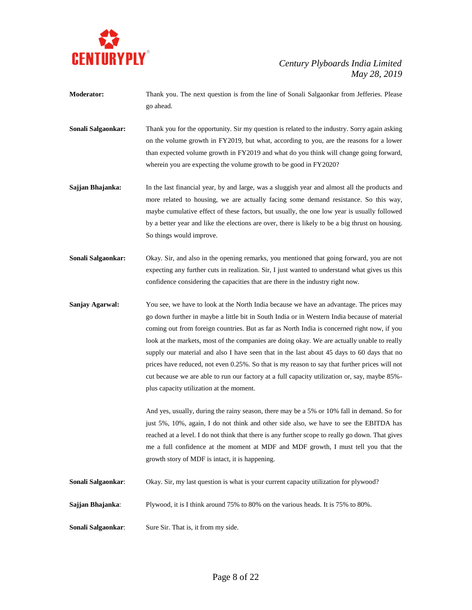

- **Moderator:** Thank you. The next question is from the line of Sonali Salgaonkar from Jefferies. Please go ahead.
- **Sonali Salgaonkar:** Thank you for the opportunity. Sir my question is related to the industry. Sorry again asking on the volume growth in FY2019, but what, according to you, are the reasons for a lower than expected volume growth in FY2019 and what do you think will change going forward, wherein you are expecting the volume growth to be good in FY2020?
- **Sajjan Bhajanka:** In the last financial year, by and large, was a sluggish year and almost all the products and more related to housing, we are actually facing some demand resistance. So this way, maybe cumulative effect of these factors, but usually, the one low year is usually followed by a better year and like the elections are over, there is likely to be a big thrust on housing. So things would improve.
- **Sonali Salgaonkar:** Okay. Sir, and also in the opening remarks, you mentioned that going forward, you are not expecting any further cuts in realization. Sir, I just wanted to understand what gives us this confidence considering the capacities that are there in the industry right now.
- **Sanjay Agarwal:** You see, we have to look at the North India because we have an advantage. The prices may go down further in maybe a little bit in South India or in Western India because of material coming out from foreign countries. But as far as North India is concerned right now, if you look at the markets, most of the companies are doing okay. We are actually unable to really supply our material and also I have seen that in the last about 45 days to 60 days that no prices have reduced, not even 0.25%. So that is my reason to say that further prices will not cut because we are able to run our factory at a full capacity utilization or, say, maybe 85% plus capacity utilization at the moment.

And yes, usually, during the rainy season, there may be a 5% or 10% fall in demand. So for just 5%, 10%, again, I do not think and other side also, we have to see the EBITDA has reached at a level. I do not think that there is any further scope to really go down. That gives me a full confidence at the moment at MDF and MDF growth, I must tell you that the growth story of MDF is intact, it is happening.

- **Sonali Salgaonkar:** Okay. Sir, my last question is what is your current capacity utilization for plywood?
- **Sajjan Bhajanka:** Plywood, it is I think around 75% to 80% on the various heads. It is 75% to 80%.
- **Sonali Salgaonkar:** Sure Sir. That is, it from my side.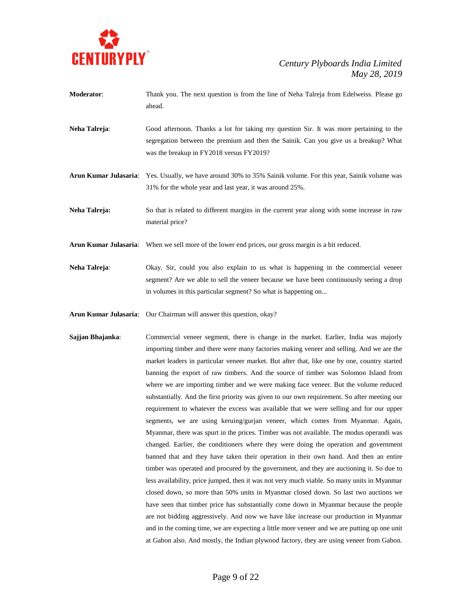

- **Moderator**: Thank you. The next question is from the line of Neha Talreja from Edelweiss. Please go ahead.
- **Neha Talreja**: Good afternoon. Thanks a lot for taking my question Sir. It was more pertaining to the segregation between the premium and then the Sainik. Can you give us a breakup? What was the breakup in FY2018 versus FY2019?
- **Arun Kumar Julasaria**: Yes. Usually, we have around 30% to 35% Sainik volume. For this year, Sainik volume was 31% for the whole year and last year, it was around 25%.

**Neha Talreja:** So that is related to different margins in the current year along with some increase in raw material price?

- **Arun Kumar Julasaria**: When we sell more of the lower end prices, our gross margin is a bit reduced.
- **Neha Talreja**: Okay. Sir, could you also explain to us what is happening in the commercial veneer segment? Are we able to sell the veneer because we have been continuously seeing a drop in volumes in this particular segment? So what is happening on...
- **Arun Kumar Julasaria**: Our Chairman will answer this question, okay?
- **Sajjan Bhajanka**: Commercial veneer segment, there is change in the market. Earlier, India was majorly importing timber and there were many factories making veneer and selling. And we are the market leaders in particular veneer market. But after that, like one by one, country started banning the export of raw timbers. And the source of timber was Solomon Island from where we are importing timber and we were making face veneer. But the volume reduced substantially. And the first priority was given to our own requirement. So after meeting our requirement to whatever the excess was available that we were selling and for our upper segments, we are using keruing/gurjan veneer, which comes from Myanmar. Again, Myanmar, there was spurt in the prices. Timber was not available. The modus operandi was changed. Earlier, the conditioners where they were doing the operation and government banned that and they have taken their operation in their own hand. And then an entire timber was operated and procured by the government, and they are auctioning it. So due to less availability, price jumped, then it was not very much viable. So many units in Myanmar closed down, so more than 50% units in Myanmar closed down. So last two auctions we have seen that timber price has substantially come down in Myanmar because the people are not bidding aggressively. And now we have like increase our production in Myanmar and in the coming time, we are expecting a little more veneer and we are putting up one unit at Gabon also. And mostly, the Indian plywood factory, they are using veneer from Gabon.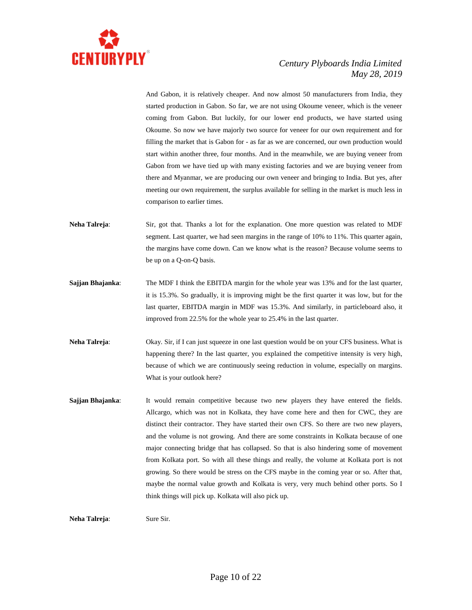

And Gabon, it is relatively cheaper. And now almost 50 manufacturers from India, they started production in Gabon. So far, we are not using Okoume veneer, which is the veneer coming from Gabon. But luckily, for our lower end products, we have started using Okoume. So now we have majorly two source for veneer for our own requirement and for filling the market that is Gabon for - as far as we are concerned, our own production would start within another three, four months. And in the meanwhile, we are buying veneer from Gabon from we have tied up with many existing factories and we are buying veneer from there and Myanmar, we are producing our own veneer and bringing to India. But yes, after meeting our own requirement, the surplus available for selling in the market is much less in comparison to earlier times.

- **Neha Talreja:** Sir, got that. Thanks a lot for the explanation. One more question was related to MDF segment. Last quarter, we had seen margins in the range of 10% to 11%. This quarter again, the margins have come down. Can we know what is the reason? Because volume seems to be up on a Q-on-Q basis.
- **Sajjan Bhajanka**: The MDF I think the EBITDA margin for the whole year was 13% and for the last quarter, it is 15.3%. So gradually, it is improving might be the first quarter it was low, but for the last quarter, EBITDA margin in MDF was 15.3%. And similarly, in particleboard also, it improved from 22.5% for the whole year to 25.4% in the last quarter.
- **Neha Talreja:** Okay. Sir, if I can just squeeze in one last question would be on your CFS business. What is happening there? In the last quarter, you explained the competitive intensity is very high, because of which we are continuously seeing reduction in volume, especially on margins. What is your outlook here?
- **Sajjan Bhajanka:** It would remain competitive because two new players they have entered the fields. Allcargo, which was not in Kolkata, they have come here and then for CWC, they are distinct their contractor. They have started their own CFS. So there are two new players, and the volume is not growing. And there are some constraints in Kolkata because of one major connecting bridge that has collapsed. So that is also hindering some of movement from Kolkata port. So with all these things and really, the volume at Kolkata port is not growing. So there would be stress on the CFS maybe in the coming year or so. After that, maybe the normal value growth and Kolkata is very, very much behind other ports. So I think things will pick up. Kolkata will also pick up.

**Neha Talreja:** Sure Sir.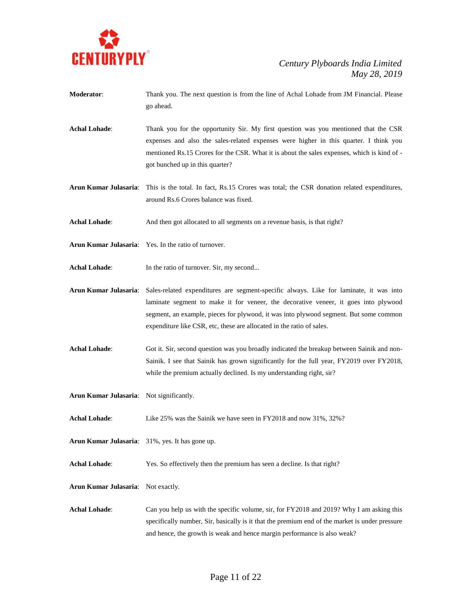

- **Moderator**: Thank you. The next question is from the line of Achal Lohade from JM Financial. Please go ahead.
- **Achal Lohade**: Thank you for the opportunity Sir. My first question was you mentioned that the CSR expenses and also the sales-related expenses were higher in this quarter. I think you mentioned Rs.15 Crores for the CSR. What it is about the sales expenses, which is kind of got bunched up in this quarter?
- **Arun Kumar Julasaria**: This is the total. In fact, Rs.15 Crores was total; the CSR donation related expenditures, around Rs.6 Crores balance was fixed.
- Achal Lohade: And then got allocated to all segments on a revenue basis, is that right?
- **Arun Kumar Julasaria**: Yes. In the ratio of turnover.
- Achal Lohade: In the ratio of turnover. Sir, my second...
- **Arun Kumar Julasaria**: Sales-related expenditures are segment-specific always. Like for laminate, it was into laminate segment to make it for veneer, the decorative veneer, it goes into plywood segment, an example, pieces for plywood, it was into plywood segment. But some common expenditure like CSR, etc, these are allocated in the ratio of sales.
- Achal Lohade: Got it. Sir, second question was you broadly indicated the breakup between Sainik and non-Sainik. I see that Sainik has grown significantly for the full year, FY2019 over FY2018, while the premium actually declined. Is my understanding right, sir?
- Arun Kumar Julasaria: Not significantly.
- **Achal Lohade**: Like 25% was the Sainik we have seen in FY2018 and now 31%, 32%?
- **Arun Kumar Julasaria**: 31%, yes. It has gone up.
- Achal Lohade: Yes. So effectively then the premium has seen a decline. Is that right?
- **Arun Kumar Julasaria**: Not exactly.
- **Achal Lohade**: Can you help us with the specific volume, sir, for FY2018 and 2019? Why I am asking this specifically number, Sir, basically is it that the premium end of the market is under pressure and hence, the growth is weak and hence margin performance is also weak?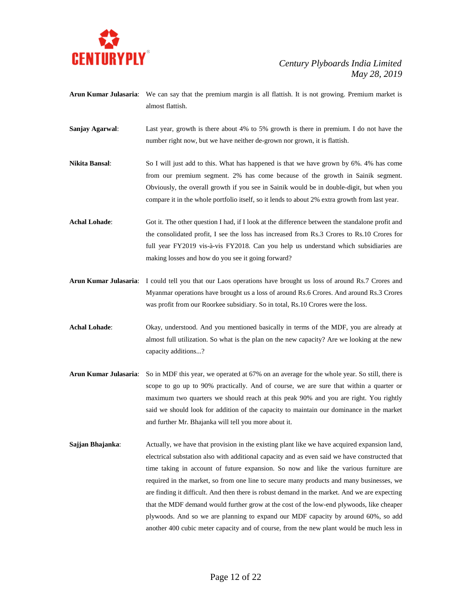

- **Arun Kumar Julasaria**: We can say that the premium margin is all flattish. It is not growing. Premium market is almost flattish.
- **Sanjay Agarwal**: Last year, growth is there about 4% to 5% growth is there in premium. I do not have the number right now, but we have neither de-grown nor grown, it is flattish.
- **Nikita Bansal**: So I will just add to this. What has happened is that we have grown by 6%. 4% has come from our premium segment. 2% has come because of the growth in Sainik segment. Obviously, the overall growth if you see in Sainik would be in double-digit, but when you compare it in the whole portfolio itself, so it lends to about 2% extra growth from last year.
- Achal Lohade: Got it. The other question I had, if I look at the difference between the standalone profit and the consolidated profit, I see the loss has increased from Rs.3 Crores to Rs.10 Crores for full year FY2019 vis-à-vis FY2018. Can you help us understand which subsidiaries are making losses and how do you see it going forward?
- **Arun Kumar Julasaria**: I could tell you that our Laos operations have brought us loss of around Rs.7 Crores and Myanmar operations have brought us a loss of around Rs.6 Crores. And around Rs.3 Crores was profit from our Roorkee subsidiary. So in total, Rs.10 Crores were the loss.
- **Achal Lohade**: Okay, understood. And you mentioned basically in terms of the MDF, you are already at almost full utilization. So what is the plan on the new capacity? Are we looking at the new capacity additions...?
- **Arun Kumar Julasaria**: So in MDF this year, we operated at 67% on an average for the whole year. So still, there is scope to go up to 90% practically. And of course, we are sure that within a quarter or maximum two quarters we should reach at this peak 90% and you are right. You rightly said we should look for addition of the capacity to maintain our dominance in the market and further Mr. Bhajanka will tell you more about it.
- **Sajjan Bhajanka:** Actually, we have that provision in the existing plant like we have acquired expansion land, electrical substation also with additional capacity and as even said we have constructed that time taking in account of future expansion. So now and like the various furniture are required in the market, so from one line to secure many products and many businesses, we are finding it difficult. And then there is robust demand in the market. And we are expecting that the MDF demand would further grow at the cost of the low-end plywoods, like cheaper plywoods. And so we are planning to expand our MDF capacity by around 60%, so add another 400 cubic meter capacity and of course, from the new plant would be much less in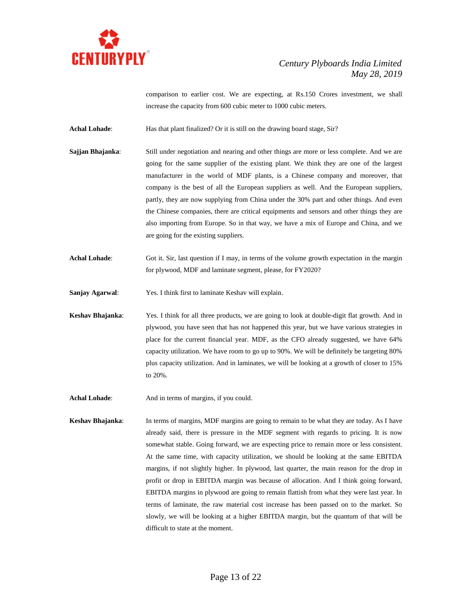

comparison to earlier cost. We are expecting, at Rs.150 Crores investment, we shall increase the capacity from 600 cubic meter to 1000 cubic meters.

Achal Lohade: Has that plant finalized? Or it is still on the drawing board stage, Sir?

- **Sajjan Bhajanka:** Still under negotiation and nearing and other things are more or less complete. And we are going for the same supplier of the existing plant. We think they are one of the largest manufacturer in the world of MDF plants, is a Chinese company and moreover, that company is the best of all the European suppliers as well. And the European suppliers, partly, they are now supplying from China under the 30% part and other things. And even the Chinese companies, there are critical equipments and sensors and other things they are also importing from Europe. So in that way, we have a mix of Europe and China, and we are going for the existing suppliers.
- **Achal Lohade**: Got it. Sir, last question if I may, in terms of the volume growth expectation in the margin for plywood, MDF and laminate segment, please, for FY2020?
- **Sanjay Agarwal**: Yes. I think first to laminate Keshav will explain.
- **Keshav Bhajanka**: Yes. I think for all three products, we are going to look at double-digit flat growth. And in plywood, you have seen that has not happened this year, but we have various strategies in place for the current financial year. MDF, as the CFO already suggested, we have 64% capacity utilization. We have room to go up to 90%. We will be definitely be targeting 80% plus capacity utilization. And in laminates, we will be looking at a growth of closer to 15% to 20%.
- Achal Lohade: And in terms of margins, if you could.
- **Keshav Bhajanka**: In terms of margins, MDF margins are going to remain to be what they are today. As I have already said, there is pressure in the MDF segment with regards to pricing. It is now somewhat stable. Going forward, we are expecting price to remain more or less consistent. At the same time, with capacity utilization, we should be looking at the same EBITDA margins, if not slightly higher. In plywood, last quarter, the main reason for the drop in profit or drop in EBITDA margin was because of allocation. And I think going forward, EBITDA margins in plywood are going to remain flattish from what they were last year. In terms of laminate, the raw material cost increase has been passed on to the market. So slowly, we will be looking at a higher EBITDA margin, but the quantum of that will be difficult to state at the moment.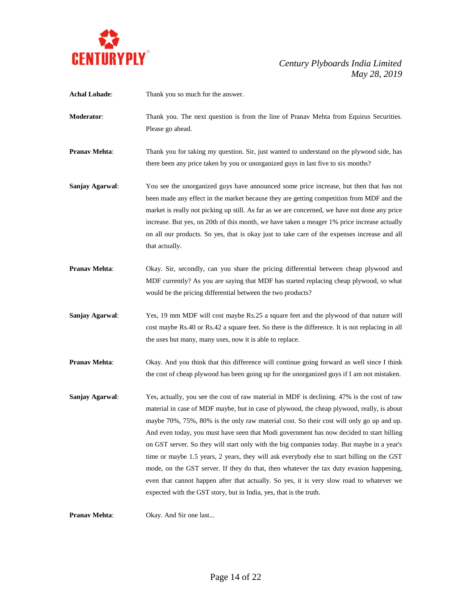

| <b>Achal Lohade:</b> | Thank you so much for the answer.                                                                                                                                                                                                                                                                                                                                                                                                                                                                                                                                                                                                                                                                                                                                                                                                          |
|----------------------|--------------------------------------------------------------------------------------------------------------------------------------------------------------------------------------------------------------------------------------------------------------------------------------------------------------------------------------------------------------------------------------------------------------------------------------------------------------------------------------------------------------------------------------------------------------------------------------------------------------------------------------------------------------------------------------------------------------------------------------------------------------------------------------------------------------------------------------------|
| Moderator:           | Thank you. The next question is from the line of Pranav Mehta from Equirus Securities.<br>Please go ahead.                                                                                                                                                                                                                                                                                                                                                                                                                                                                                                                                                                                                                                                                                                                                 |
| <b>Pranav Mehta:</b> | Thank you for taking my question. Sir, just wanted to understand on the plywood side, has<br>there been any price taken by you or unorganized guys in last five to six months?                                                                                                                                                                                                                                                                                                                                                                                                                                                                                                                                                                                                                                                             |
| Sanjay Agarwal:      | You see the unorganized guys have announced some price increase, but then that has not<br>been made any effect in the market because they are getting competition from MDF and the<br>market is really not picking up still. As far as we are concerned, we have not done any price<br>increase. But yes, on 20th of this month, we have taken a meager 1% price increase actually<br>on all our products. So yes, that is okay just to take care of the expenses increase and all<br>that actually.                                                                                                                                                                                                                                                                                                                                       |
| <b>Pranav Mehta:</b> | Okay. Sir, secondly, can you share the pricing differential between cheap plywood and<br>MDF currently? As you are saying that MDF has started replacing cheap plywood, so what<br>would be the pricing differential between the two products?                                                                                                                                                                                                                                                                                                                                                                                                                                                                                                                                                                                             |
| Sanjay Agarwal:      | Yes, 19 mm MDF will cost maybe Rs.25 a square feet and the plywood of that nature will<br>cost maybe Rs.40 or Rs.42 a square feet. So there is the difference. It is not replacing in all<br>the uses but many, many uses, now it is able to replace.                                                                                                                                                                                                                                                                                                                                                                                                                                                                                                                                                                                      |
| <b>Pranav Mehta:</b> | Okay. And you think that this difference will continue going forward as well since I think<br>the cost of cheap plywood has been going up for the unorganized guys if I am not mistaken.                                                                                                                                                                                                                                                                                                                                                                                                                                                                                                                                                                                                                                                   |
| Sanjay Agarwal:      | Yes, actually, you see the cost of raw material in MDF is declining. 47% is the cost of raw<br>material in case of MDF maybe, but in case of plywood, the cheap plywood, really, is about<br>maybe 70%, 75%, 80% is the only raw material cost. So their cost will only go up and up.<br>And even today, you must have seen that Modi government has now decided to start billing<br>on GST server. So they will start only with the big companies today. But maybe in a year's<br>time or maybe 1.5 years, 2 years, they will ask everybody else to start billing on the GST<br>mode, on the GST server. If they do that, then whatever the tax duty evasion happening,<br>even that cannot happen after that actually. So yes, it is very slow road to whatever we<br>expected with the GST story, but in India, yes, that is the truth. |
| <b>Pranav Mehta:</b> | Okay. And Sir one last                                                                                                                                                                                                                                                                                                                                                                                                                                                                                                                                                                                                                                                                                                                                                                                                                     |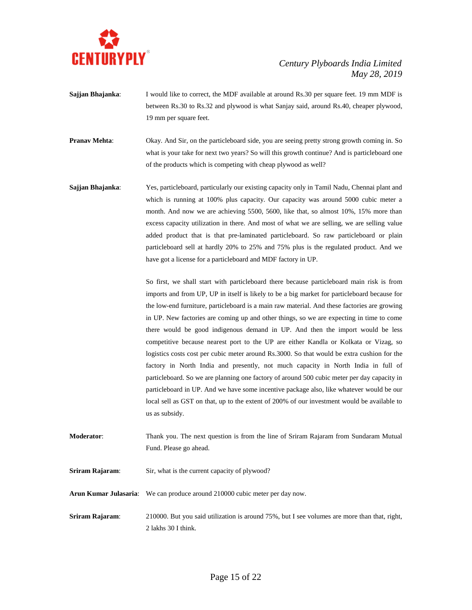

- **Sajjan Bhajanka:** I would like to correct, the MDF available at around Rs.30 per square feet. 19 mm MDF is between Rs.30 to Rs.32 and plywood is what Sanjay said, around Rs.40, cheaper plywood, 19 mm per square feet.
- **Pranav Mehta:** Okay. And Sir, on the particleboard side, you are seeing pretty strong growth coming in. So what is your take for next two years? So will this growth continue? And is particleboard one of the products which is competing with cheap plywood as well?
- **Sajjan Bhajanka**: Yes, particleboard, particularly our existing capacity only in Tamil Nadu, Chennai plant and which is running at 100% plus capacity. Our capacity was around 5000 cubic meter a month. And now we are achieving 5500, 5600, like that, so almost 10%, 15% more than excess capacity utilization in there. And most of what we are selling, we are selling value added product that is that pre-laminated particleboard. So raw particleboard or plain particleboard sell at hardly 20% to 25% and 75% plus is the regulated product. And we have got a license for a particleboard and MDF factory in UP.

So first, we shall start with particleboard there because particleboard main risk is from imports and from UP, UP in itself is likely to be a big market for particleboard because for the low-end furniture, particleboard is a main raw material. And these factories are growing in UP. New factories are coming up and other things, so we are expecting in time to come there would be good indigenous demand in UP. And then the import would be less competitive because nearest port to the UP are either Kandla or Kolkata or Vizag, so logistics costs cost per cubic meter around Rs.3000. So that would be extra cushion for the factory in North India and presently, not much capacity in North India in full of particleboard. So we are planning one factory of around 500 cubic meter per day capacity in particleboard in UP. And we have some incentive package also, like whatever would be our local sell as GST on that, up to the extent of 200% of our investment would be available to us as subsidy.

- **Moderator**: Thank you. The next question is from the line of Sriram Rajaram from Sundaram Mutual Fund. Please go ahead.
- **Sriram Rajaram:** Sir, what is the current capacity of plywood?
- **Arun Kumar Julasaria**: We can produce around 210000 cubic meter per day now.
- **Sriram Rajaram:** 210000. But you said utilization is around 75%, but I see volumes are more than that, right, 2 lakhs 30 I think.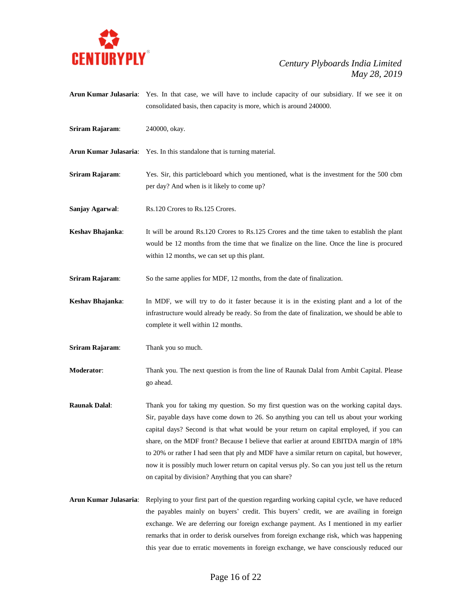

- **Arun Kumar Julasaria**: Yes. In that case, we will have to include capacity of our subsidiary. If we see it on consolidated basis, then capacity is more, which is around 240000.
- **Sriram Rajaram**: 240000, okay.
- **Arun Kumar Julasaria**: Yes. In this standalone that is turning material.
- **Sriram Rajaram**: Yes. Sir, this particleboard which you mentioned, what is the investment for the 500 cbm per day? And when is it likely to come up?
- **Sanjay Agarwal:** Rs.120 Crores to Rs.125 Crores.
- **Keshav Bhajanka**: It will be around Rs.120 Crores to Rs.125 Crores and the time taken to establish the plant would be 12 months from the time that we finalize on the line. Once the line is procured within 12 months, we can set up this plant.
- **Sriram Rajaram:** So the same applies for MDF, 12 months, from the date of finalization.
- **Keshav Bhajanka**: In MDF, we will try to do it faster because it is in the existing plant and a lot of the infrastructure would already be ready. So from the date of finalization, we should be able to complete it well within 12 months.
- **Sriram Rajaram**: Thank you so much.
- **Moderator**: Thank you. The next question is from the line of Raunak Dalal from Ambit Capital. Please go ahead.
- **Raunak Dalal**: Thank you for taking my question. So my first question was on the working capital days. Sir, payable days have come down to 26. So anything you can tell us about your working capital days? Second is that what would be your return on capital employed, if you can share, on the MDF front? Because I believe that earlier at around EBITDA margin of 18% to 20% or rather I had seen that ply and MDF have a similar return on capital, but however, now it is possibly much lower return on capital versus ply. So can you just tell us the return on capital by division? Anything that you can share?
- **Arun Kumar Julasaria**: Replying to your first part of the question regarding working capital cycle, we have reduced the payables mainly on buyers' credit. This buyers' credit, we are availing in foreign exchange. We are deferring our foreign exchange payment. As I mentioned in my earlier remarks that in order to derisk ourselves from foreign exchange risk, which was happening this year due to erratic movements in foreign exchange, we have consciously reduced our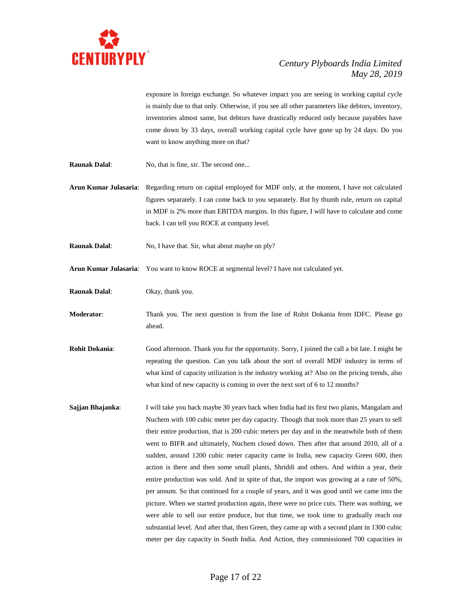

exposure in foreign exchange. So whatever impact you are seeing in working capital cycle is mainly due to that only. Otherwise, if you see all other parameters like debtors, inventory, inventories almost same, but debtors have drastically reduced only because payables have come down by 33 days, overall working capital cycle have gone up by 24 days. Do you want to know anything more on that?

**Raunak Dalal:** No, that is fine, sir. The second one...

**Arun Kumar Julasaria**: Regarding return on capital employed for MDF only, at the moment, I have not calculated figures separately. I can come back to you separately. But by thumb rule, return on capital in MDF is 2% more than EBITDA margins. In this figure, I will have to calculate and come back. I can tell you ROCE at company level.

**Raunak Dalal:** No, I have that. Sir, what about maybe on ply?

**Arun Kumar Julasaria**: You want to know ROCE at segmental level? I have not calculated yet.

**Raunak Dalal**: Okay, thank you.

**Moderator**: Thank you. The next question is from the line of Rohit Dokania from IDFC. Please go ahead.

**Rohit Dokania**: Good afternoon. Thank you for the opportunity. Sorry, I joined the call a bit late. I might be repeating the question. Can you talk about the sort of overall MDF industry in terms of what kind of capacity utilization is the industry working at? Also on the pricing trends, also what kind of new capacity is coming in over the next sort of 6 to 12 months?

**Sajjan Bhajanka**: I will take you back maybe 30 years back when India had its first two plants, Mangalam and Nuchem with 100 cubic meter per day capacity. Though that took more than 25 years to sell their entire production, that is 200 cubic meters per day and in the meanwhile both of them went to BIFR and ultimately, Nuchem closed down. Then after that around 2010, all of a sudden, around 1200 cubic meter capacity came in India, new capacity Green 600, then action is there and then some small plants, Shriddi and others. And within a year, their entire production was sold. And in spite of that, the import was growing at a rate of 50%, per annum. So that continued for a couple of years, and it was good until we came into the picture. When we started production again, there were no price cuts. There was nothing, we were able to sell our entire produce, but that time, we took time to gradually reach our substantial level. And after that, then Green, they came up with a second plant in 1300 cubic meter per day capacity in South India. And Action, they commissioned 700 capacities in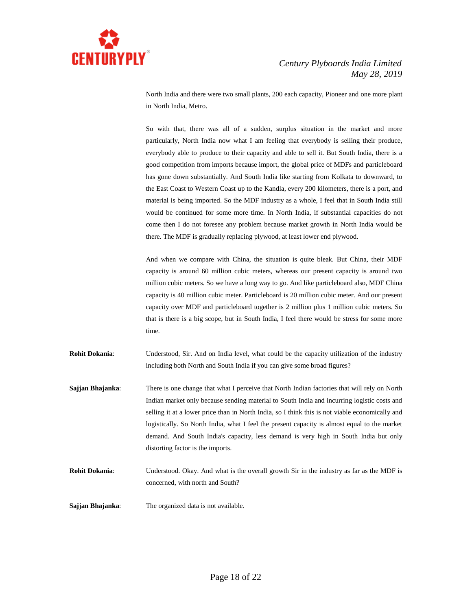

North India and there were two small plants, 200 each capacity, Pioneer and one more plant in North India, Metro.

So with that, there was all of a sudden, surplus situation in the market and more particularly, North India now what I am feeling that everybody is selling their produce, everybody able to produce to their capacity and able to sell it. But South India, there is a good competition from imports because import, the global price of MDFs and particleboard has gone down substantially. And South India like starting from Kolkata to downward, to the East Coast to Western Coast up to the Kandla, every 200 kilometers, there is a port, and material is being imported. So the MDF industry as a whole, I feel that in South India still would be continued for some more time. In North India, if substantial capacities do not come then I do not foresee any problem because market growth in North India would be there. The MDF is gradually replacing plywood, at least lower end plywood.

And when we compare with China, the situation is quite bleak. But China, their MDF capacity is around 60 million cubic meters, whereas our present capacity is around two million cubic meters. So we have a long way to go. And like particleboard also, MDF China capacity is 40 million cubic meter. Particleboard is 20 million cubic meter. And our present capacity over MDF and particleboard together is 2 million plus 1 million cubic meters. So that is there is a big scope, but in South India, I feel there would be stress for some more time.

**Rohit Dokania:** Understood, Sir. And on India level, what could be the capacity utilization of the industry including both North and South India if you can give some broad figures?

- **Sajjan Bhajanka**: There is one change that what I perceive that North Indian factories that will rely on North Indian market only because sending material to South India and incurring logistic costs and selling it at a lower price than in North India, so I think this is not viable economically and logistically. So North India, what I feel the present capacity is almost equal to the market demand. And South India's capacity, less demand is very high in South India but only distorting factor is the imports.
- **Rohit Dokania**: Understood. Okay. And what is the overall growth Sir in the industry as far as the MDF is concerned, with north and South?
- **Sajjan Bhajanka**: The organized data is not available.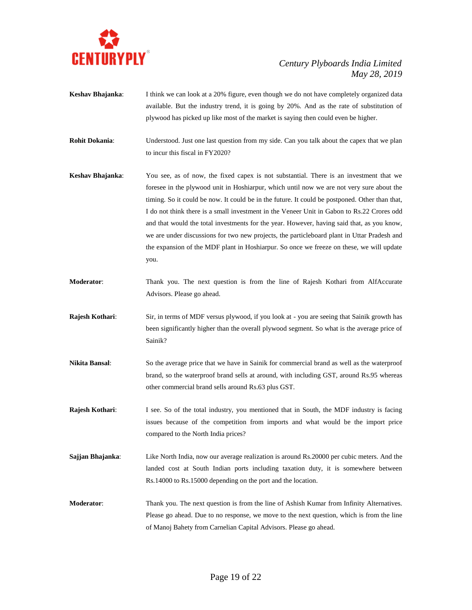

- **Keshav Bhajanka**: I think we can look at a 20% figure, even though we do not have completely organized data available. But the industry trend, it is going by 20%. And as the rate of substitution of plywood has picked up like most of the market is saying then could even be higher.
- **Rohit Dokania**: Understood. Just one last question from my side. Can you talk about the capex that we plan to incur this fiscal in FY2020?
- **Keshav Bhajanka**: You see, as of now, the fixed capex is not substantial. There is an investment that we foresee in the plywood unit in Hoshiarpur, which until now we are not very sure about the timing. So it could be now. It could be in the future. It could be postponed. Other than that, I do not think there is a small investment in the Veneer Unit in Gabon to Rs.22 Crores odd and that would the total investments for the year. However, having said that, as you know, we are under discussions for two new projects, the particleboard plant in Uttar Pradesh and the expansion of the MDF plant in Hoshiarpur. So once we freeze on these, we will update you.
- **Moderator**: Thank you. The next question is from the line of Rajesh Kothari from AlfAccurate Advisors. Please go ahead.
- **Rajesh Kothari:** Sir, in terms of MDF versus plywood, if you look at you are seeing that Sainik growth has been significantly higher than the overall plywood segment. So what is the average price of Sainik?
- **Nikita Bansal**: So the average price that we have in Sainik for commercial brand as well as the waterproof brand, so the waterproof brand sells at around, with including GST, around Rs.95 whereas other commercial brand sells around Rs.63 plus GST.
- **Rajesh Kothari:** I see. So of the total industry, you mentioned that in South, the MDF industry is facing issues because of the competition from imports and what would be the import price compared to the North India prices?
- **Sajjan Bhajanka:** Like North India, now our average realization is around Rs.20000 per cubic meters. And the landed cost at South Indian ports including taxation duty, it is somewhere between Rs.14000 to Rs.15000 depending on the port and the location.
- **Moderator**: Thank you. The next question is from the line of Ashish Kumar from Infinity Alternatives. Please go ahead. Due to no response, we move to the next question, which is from the line of Manoj Bahety from Carnelian Capital Advisors. Please go ahead.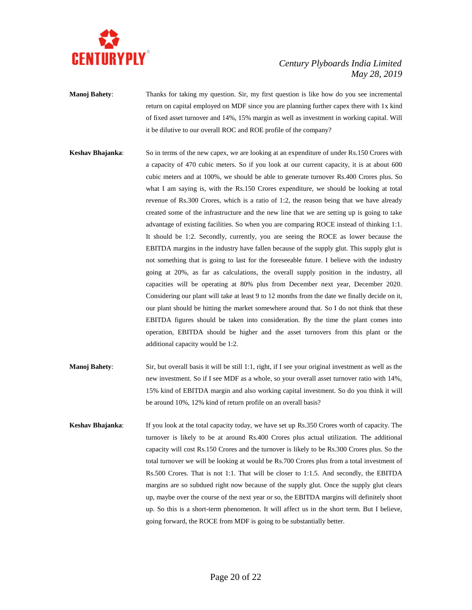

- **Manoj Bahety:** Thanks for taking my question. Sir, my first question is like how do you see incremental return on capital employed on MDF since you are planning further capex there with 1x kind of fixed asset turnover and 14%, 15% margin as well as investment in working capital. Will it be dilutive to our overall ROC and ROE profile of the company?
- **Keshav Bhajanka**: So in terms of the new capex, we are looking at an expenditure of under Rs.150 Crores with a capacity of 470 cubic meters. So if you look at our current capacity, it is at about 600 cubic meters and at 100%, we should be able to generate turnover Rs.400 Crores plus. So what I am saying is, with the Rs.150 Crores expenditure, we should be looking at total revenue of Rs.300 Crores, which is a ratio of 1:2, the reason being that we have already created some of the infrastructure and the new line that we are setting up is going to take advantage of existing facilities. So when you are comparing ROCE instead of thinking 1:1. It should be 1:2. Secondly, currently, you are seeing the ROCE as lower because the EBITDA margins in the industry have fallen because of the supply glut. This supply glut is not something that is going to last for the foreseeable future. I believe with the industry going at 20%, as far as calculations, the overall supply position in the industry, all capacities will be operating at 80% plus from December next year, December 2020. Considering our plant will take at least 9 to 12 months from the date we finally decide on it, our plant should be hitting the market somewhere around that. So I do not think that these EBITDA figures should be taken into consideration. By the time the plant comes into operation, EBITDA should be higher and the asset turnovers from this plant or the additional capacity would be 1:2.
- **Manoj Bahety**: Sir, but overall basis it will be still 1:1, right, if I see your original investment as well as the new investment. So if I see MDF as a whole, so your overall asset turnover ratio with 14%, 15% kind of EBITDA margin and also working capital investment. So do you think it will be around 10%, 12% kind of return profile on an overall basis?
- **Keshav Bhajanka**: If you look at the total capacity today, we have set up Rs.350 Crores worth of capacity. The turnover is likely to be at around Rs.400 Crores plus actual utilization. The additional capacity will cost Rs.150 Crores and the turnover is likely to be Rs.300 Crores plus. So the total turnover we will be looking at would be Rs.700 Crores plus from a total investment of Rs.500 Crores. That is not 1:1. That will be closer to 1:1.5. And secondly, the EBITDA margins are so subdued right now because of the supply glut. Once the supply glut clears up, maybe over the course of the next year or so, the EBITDA margins will definitely shoot up. So this is a short-term phenomenon. It will affect us in the short term. But I believe, going forward, the ROCE from MDF is going to be substantially better.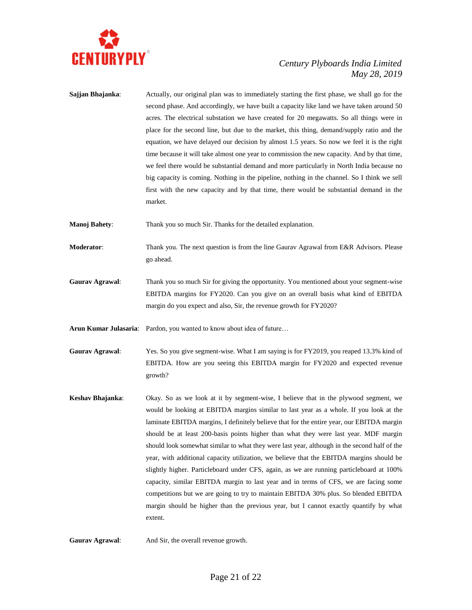

**Sajjan Bhajanka:** Actually, our original plan was to immediately starting the first phase, we shall go for the second phase. And accordingly, we have built a capacity like land we have taken around 50 acres. The electrical substation we have created for 20 megawatts. So all things were in place for the second line, but due to the market, this thing, demand/supply ratio and the equation, we have delayed our decision by almost 1.5 years. So now we feel it is the right time because it will take almost one year to commission the new capacity. And by that time, we feel there would be substantial demand and more particularly in North India because no big capacity is coming. Nothing in the pipeline, nothing in the channel. So I think we sell first with the new capacity and by that time, there would be substantial demand in the market.

**Manoj Bahety**: Thank you so much Sir. Thanks for the detailed explanation.

- **Moderator**: Thank you. The next question is from the line Gaurav Agrawal from E&R Advisors. Please go ahead.
- **Gaurav Agrawal**: Thank you so much Sir for giving the opportunity. You mentioned about your segment-wise EBITDA margins for FY2020. Can you give on an overall basis what kind of EBITDA margin do you expect and also, Sir, the revenue growth for FY2020?

Arun Kumar Julasaria: Pardon, you wanted to know about idea of future...

- **Gaurav Agrawal**: Yes. So you give segment-wise. What I am saying is for FY2019, you reaped 13.3% kind of EBITDA. How are you seeing this EBITDA margin for FY2020 and expected revenue growth?
- **Keshav Bhajanka**: Okay. So as we look at it by segment-wise, I believe that in the plywood segment, we would be looking at EBITDA margins similar to last year as a whole. If you look at the laminate EBITDA margins, I definitely believe that for the entire year, our EBITDA margin should be at least 200-basis points higher than what they were last year. MDF margin should look somewhat similar to what they were last year, although in the second half of the year, with additional capacity utilization, we believe that the EBITDA margins should be slightly higher. Particleboard under CFS, again, as we are running particleboard at 100% capacity, similar EBITDA margin to last year and in terms of CFS, we are facing some competitions but we are going to try to maintain EBITDA 30% plus. So blended EBITDA margin should be higher than the previous year, but I cannot exactly quantify by what extent.

**Gaurav Agrawal**: And Sir, the overall revenue growth.